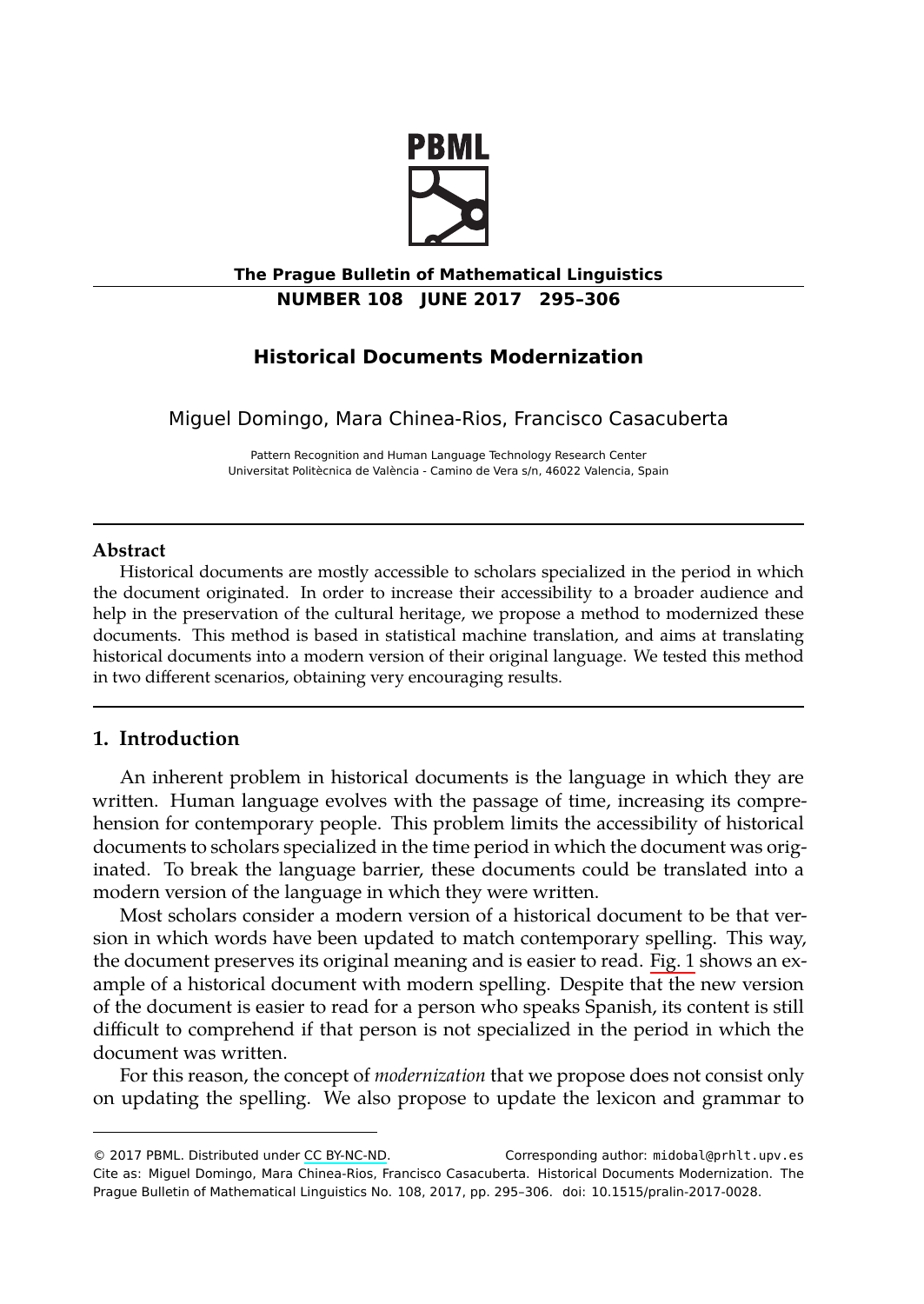

# **The Prague Bulletin of Mathematical Linguistics NUMBER 108 JUNE 2017 295–306**

# **Historical Documents Modernization**

Miguel Domingo, Mara Chinea-Rios, Francisco Casacuberta

Pattern Recognition and Human Language Technology Research Center Universitat Politècnica de València - Camino de Vera s/n, 46022 Valencia, Spain

# <span id="page-0-0"></span>**Abstract**

Historical documents are mostly accessible to scholars specialized in the period in which the document originated. In order to increase their accessibility to a broader audience and help in the preservation of the cultural heritage, we propose a method to modernized these documents. This method is based in statistical machine translation, and aims at translating historical documents into a modern version of their original language. We tested this method in two different scenarios, obtaining very encouraging results.

## **1. Introduction**

An inherent problem in historical documents is the language in which they are written. Human language evolves with the passage of time, increasing its comprehension for contemporary people. This problem limits the accessibility of historical documents to scholars specialized in the time period in which the document was originated. To break the language barrier, these documents could be translated into a modern version of the language in which they were written.

Most scholars consider a modern version of a historical document to be that version in which words hav[e been upd](http://creativecommons.org/licenses/by-nc-nd/3.0/)ated to match contemporary spelling. This way, the document preserves its original meaning and is easier to read. Fig. 1 shows an example of a historical document with modern spelling. Despite that the new version of the document is easier to read for a person who speaks Spanish, its content is still difficult to comprehend if that person is not specialized in the period in which the document was written.

For this reason, the concept of *modernization* that we propose does not consist only on updating the spelling. We also propose to update the lexicon and grammar to

<sup>© 2017</sup> PBML. Distributed under CC BY-NC-ND. Corresponding author: midobal@prhlt.upv.es Cite as: Miguel Domingo, Mara Chinea-Rios, Francisco Casacuberta. Historical Documents Modernization. The Prague Bulletin of Mathematical Linguistics No. 108, 2017, pp. 295–306. doi: 10.1515/pralin-2017-0028.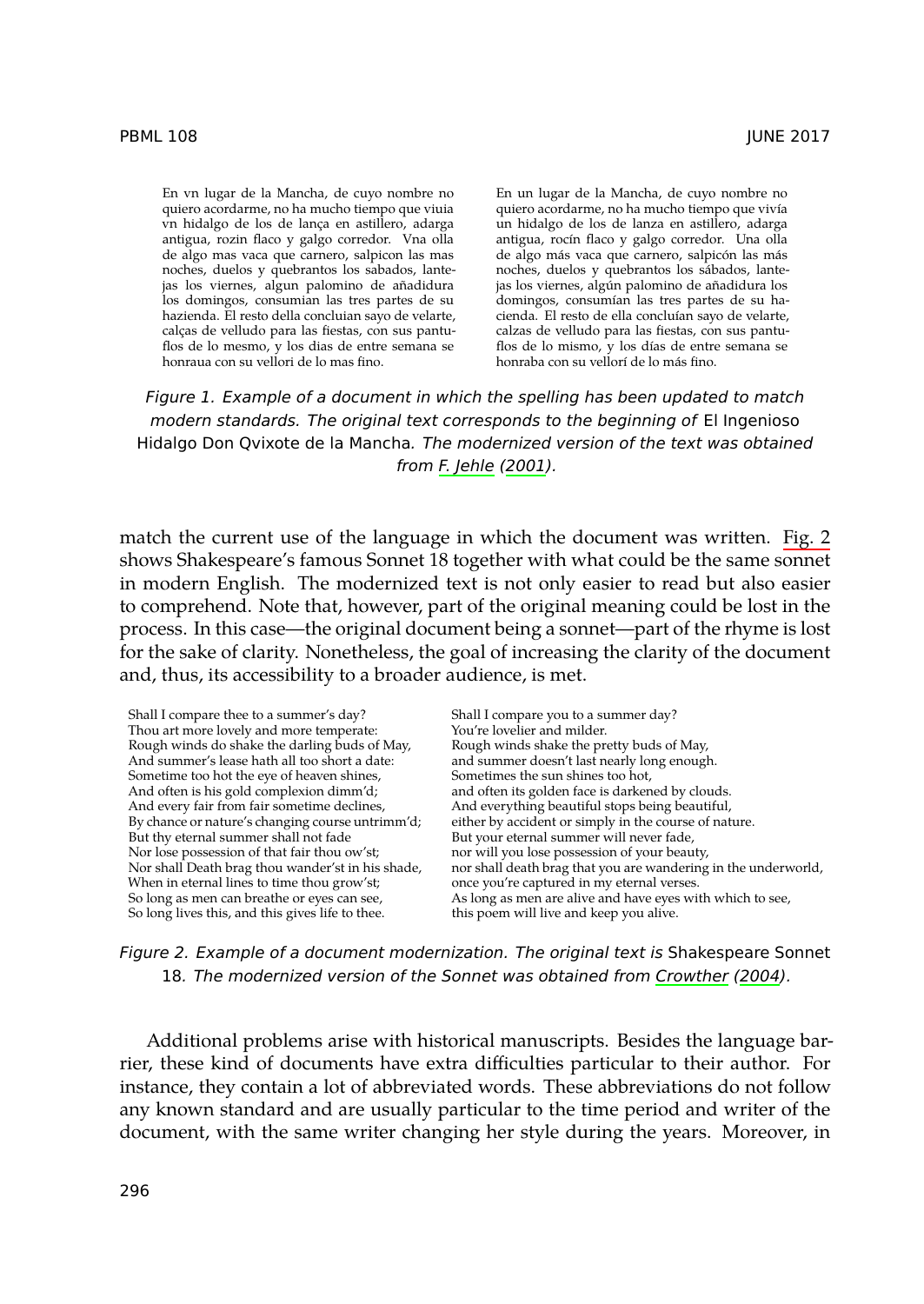En vn lugar de la Mancha, de cuyo nombre no quiero acordarme, no ha mucho tiempo que viuia vn hidalgo de los de lança en astillero, adarga antigua, rozin flaco y galgo corredor. Vna olla de algo mas vaca que carnero, salpicon las [mas](#page-10-0) noches, duelos y quebrantos los sabados, lantejas los viernes, algun palomino de añadidura los domingos, consumian las tres partes de su hazienda. El resto della concluian sayo de velarte, calças de velludo para las fiestas, con sus pantuflos de lo mesmo, y los dias de entre semana se honraua con su vellori de lo mas fino.

En un lugar de la Mancha, de cuyo nombre no quiero acordarme, no ha mucho tiempo que vivía un hidalgo de los de lanza en astillero, adarga antigua, rocín flaco y galgo corredor. Una olla d[e algo m](#page-10-0)ás vaca que carnero, salpicón las más noches, duelos y quebrantos los sábados, lantejas los viernes, algún palomino de añadidura los domingos, consumían las tres partes de su hacienda. El resto de ella concluían sayo de velart[e,](#page-1-0) calzas de velludo para las fiestas, con sus pantuflos de lo mismo, y los días de entre semana se honraba con su vellorí de lo más fino.

*Figure 1. Example of a document in which the spelling has been updated to match modern standards. The original text corresponds to the beginning of* El Ingenioso Hidalgo Don Qvixote de la Mancha*. The modernized version of the text was obtained from F. Jehle (2001).*

match the current use of the language in which the document was written. Fig. 2 shows Shakespeare's famous Sonnet 18 together with what could be the same sonnet in modern English. The modernized text is not only easier to read but also easier to comprehend. Note that, however, part of the original meaning could be lost in the process. In this case—the original document being a sonnet—part of the rhyme is lost for the sake of clarity. Nonetheless, the goal of increasing the clarity of the document and, thus, its accessibility to a broader audience, is met.

<span id="page-1-0"></span>Shall I compare thee to a summer's day? Thou art more lovely and more temperate: Rough winds do shake the darling buds of May, And summer's lease hath all too short a date: Sometime too hot the eye of heaven shines, And often is his gold complexion dimm'd; And every fair from fair sometime declines, By chance or nature's changing course untrimm'd; But thy eternal summer shall not fade Nor lose possession of that fair thou ow'st; Nor shall Death brag thou wander'st in his shade, When in eternal lines to time thou grow'st; So long as men can breathe or eyes can see, So long lives this, and this gives life to thee. Shall I compare you to a summer day? You're lovelier and milder. Rough winds shake the pretty buds of May, and summer doesn't last nearly lo[ng enough.](#page-10-1) Sometimes the sun shines too hot, and often its golden face is darkened by clouds. And everything beautiful stops being beautiful, either by accident or simply in the course of nature. But your eternal summer will never fade, nor will you lose possession of your beauty, nor shall death brag that you are wandering in the underworld, once you're captured in my eternal verses. As long as men are alive and have eyes with which to see, this poem will live and keep you alive.



Additional problems arise with historical manuscripts. Besides the language barrier, these kind of documents have extra difficulties particular to their author. For instance, they contain a lot of abbreviated words. These abbreviations do not follow any known standard and are usually particular to the time period and writer of the document, with the same writer changing her style during the years. Moreover, in

#### PBML 108 JUNE 2017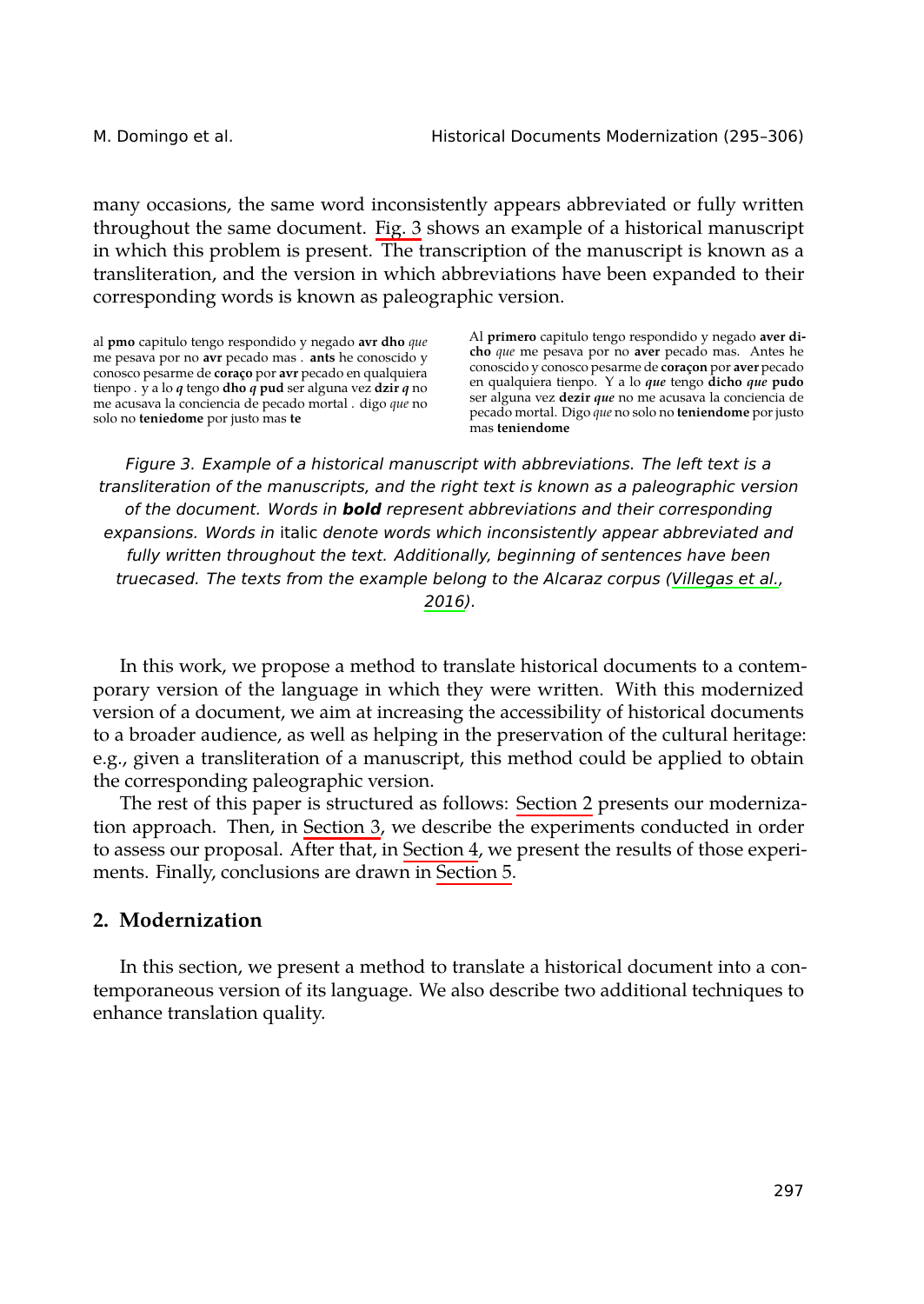M. Domingo et al. Historical Documents Modernization (295–306)

many occasions, the same word inconsistently appears abbreviated or fully written throughout the same document. Fig. 3 shows an example of a historical manuscript in which this problem is present. The transcription of the manuscript is known as a transliteration, and the version in which abbreviations have been expanded to their corresponding words is known as paleographic version.

al **pmo** capitulo tengo respondido y negado **avr dho** *que* me pesava por no **avr** pecado mas . **ants** he conoscido y conosco pesarme de **coraço** por **avr** pecado en qualquiera tienpo . y a lo *q* tengo **dho** *q* **pud** ser alguna vez **dzir** *q* n[o](#page-11-0) me acusava la conciencia de pecado mortal . digo *que* no solo no **teniedome** por justo mas **te**

Al **primero** capitulo tengo respondido y negado **aver dicho** *que* me pesava por no **aver** pecado mas. Antes he conoscido y conosco pesarme de **c[oraçon](#page-11-0)** por **aver** pecado en qualquiera tienpo. Y a lo *que* tengo **dicho** *que* **pudo** ser alguna vez **dezir** *que* no me acusava la conciencia de pecado mortal. Digo *que* no solo no **teniendome** por justo mas **teniendome**

*Figure 3. Example of a historical manuscript with abbreviations. The left text is a transliteration of the manuscripts, and the right text is known as a paleographic version of the document. Words in bold represent abbreviations and their corresponding expansions. Words in* italic *denote words which inconsistently appear abbreviated and fully written throughout the text. Additionally, beginning of sentences have been truecased. The texts from the example belong to [the Alcara](#page-2-0)z corpus (Villegas et al., 2016).*

<span id="page-2-0"></span>In this work, we propose a method t[o translate](#page-9-0) historical documents to a contemporary version of the language in which they were written. With this modernized version of a document, we aim at increasing the accessibility of historical documents to a broader audience, as well as helping in the preservation of the cultural heritage: e.g., given a transliteration of a manuscript, this method could be applied to obtain the corresponding paleographic version.

The rest of this paper is structured as follows: Section 2 presents our modernization approach. Then, in Section 3, we describe the experiments conducted in order to assess our proposal. After that, in Section 4, we present the results of those experiments. Finally, conclusions are drawn in Section 5.

# **2. Modernization**

In this section, we present a method to translate a historical document into a contemporaneous version of its language. We also describe two additional techniques to enhance translation quality.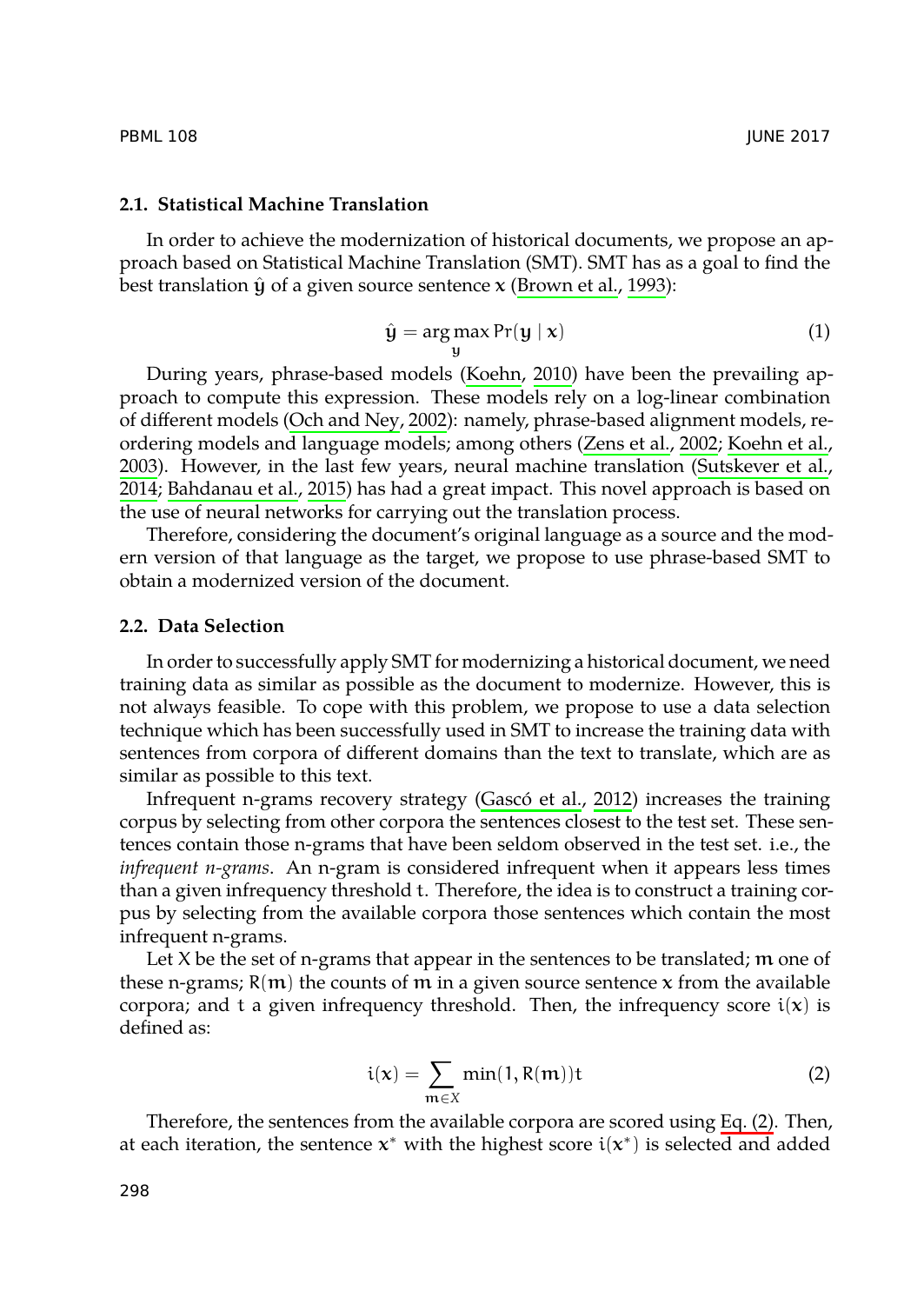## PBML 108 JUNE 2017

# **2.1. Statistical Mac[hine Translation](#page-11-1)**

In order to achieve the modernization of historical [documents, we](#page-11-2) [propose an ap](#page-11-3)[proa](#page-11-3)[ch based on Stati](#page-10-3)s[tical](#page-10-3) Machine Translation (SMT). SMT has as a goal to find the best translation  $\hat{y}$  of a given source sentence x (Brown et al., 1993):

y

$$
\hat{\mathbf{y}} = \arg \max \Pr(\mathbf{y} \mid \mathbf{x}) \tag{1}
$$

During years, phrase-based models (Koehn, 2010) have been the prevailing approach to compute this expression. These models rely on a log-linear combination of different models (Och and Ney, 2002): namely, phrase-based alignment models, reordering models and language models; among others (Zens et al., 2002; Koehn et al., 2003). However, in the last few years, neural machine translation (Sutskever et al., 2014; Bahdanau et al., 2015) has had a great impact. This novel approach is based on the use of neural networks for carrying out the translation process.

Therefore, considering the document's original language as a source and the modern version of that language as the target, we propose to use phrase-based SMT to obtain a modernized version of the docum[ent.](#page-10-4)

## **2.2. Data Selection**

In order to successfully apply SMT for modernizing a historical document, we need training data as similar as possible as the document to modernize. However, this is not always feasible. To cope with this problem, we propose to use a data selection technique which has been successfully used in SMT to increase the training data with sentences from corpora of different domains than the text to translate, which are as similar as possible to this text.

<span id="page-3-0"></span>Infrequent n-grams recovery strategy (Gascó et al., 2012) increases the training corpus by selecting from other corpora the sentences closest to the test set. These sentences contain those n-grams that have been seldom observed in the test set. i.e., the *infrequent n-grams*. An n-gram is considered infrequent when it appears less times than a given infrequency threshold t. Therefore, the idea is to construct a training corpus by selecting from the available corpora those sentences which con[tain the](#page-3-0) most infrequent n-grams.

Let  $X$  be the set of n-grams that appear in the sentences to be translated;  $m$  one of these n-grams;  $R(m)$  the counts of m in a given source sentence x from the available corpora; and t a given infrequency threshold. Then, the infrequency score  $i(x)$  is defined as:

$$
i(x) = \sum_{m \in X} \min(1, R(m))t
$$
 (2)

Therefore, the sentences from the available corpora are scored using Eq. (2). Then, at each iteration, the sentence **x**\* with the highest score  $\text{i}(\text{x}^*)$  is selected and added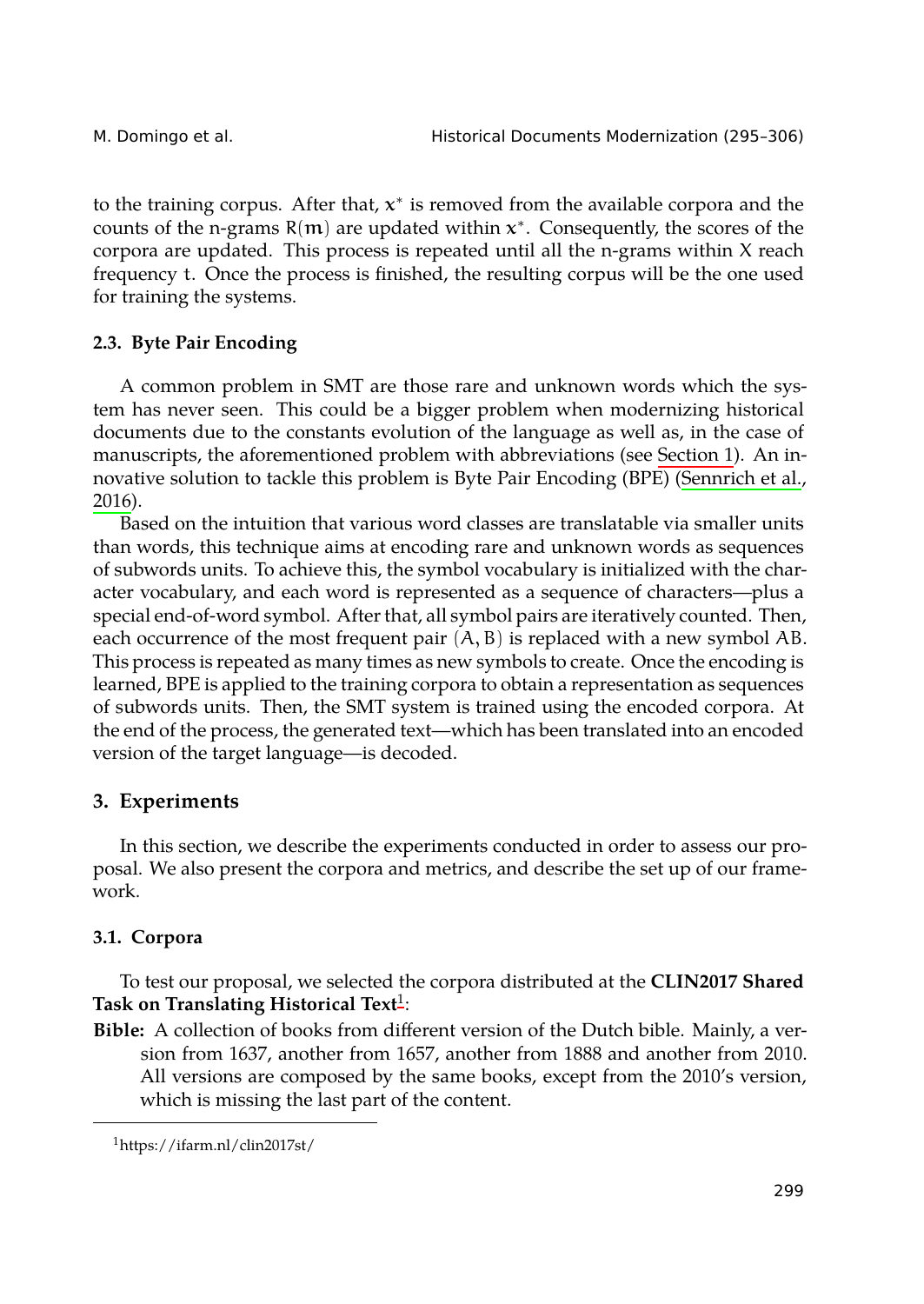<span id="page-4-1"></span>M. Domingo et al. Historical Documents Modernization (295–306)

to the training corpus. After that, x *∗* is removed from the available corpora and the counts of the n-grams R(m) are updated within x *∗* . Consequently[, the score](#page-0-0)s of the corpora are updated. This process is repeated until all the n-grams within X reach [frequ](#page-11-4)ency t. Once the process is finished, the resulting corpus will b[e the one used](#page-11-4) for training the systems.

# **2.3. Byte Pair Encoding**

A common problem in SMT are those rare and unknown words which the system has never seen. This could be a bigger problem when modernizing historical documents due to the constants evolution of the language as well as, in the case of manuscripts, the aforementioned problem with abbreviations (see Section 1). An innovative solution to tackle this problem is Byte Pair Encoding (BPE) (Sennrich et al., 2016).

Based on the intuition that various word classes are translatable via smaller units than words, this technique aims at encoding rare and unknown words as sequences of subwords units. To achieve this, the symbol vocabulary is initialized with the character vocabulary, and each word is represented as a sequence of characters—plus a special end-of-word symbol. After that, all symbol pairs are iteratively counted. Then, each occurrence of the most frequent pair  $(A, B)$  is replaced with a new symbol AB. This process is repeated as many times as new symbols to create. Once the encoding is learned, BPE is applied to the training corpora to obtain a representation as sequences of subwords units. Then, the SMT system is trained using the encoded corpora. At the end of the process, the generated text—which has been translated into an encoded version of the target language—is decoded.

## <span id="page-4-0"></span>**3. Experiments**

In this section, we describe the experiments conducted in order to assess our proposal. We also present the corpora and metrics, and describe the set up of our framework.

## **3.1. Corpora**

To test our proposal, we selected the corpora distributed at the **CLIN2017 Shared Task on Translating Historical Text**<sup>1</sup> :

**Bible:** A collection of books from different version of the Dutch bible. Mainly, a version from 1637, another from 1657, another from 1888 and another from 2010. All versions are composed by the same books, except from the 2010's version, which is missing the last part of the content.

<sup>1</sup>https://ifarm.nl/clin2017st/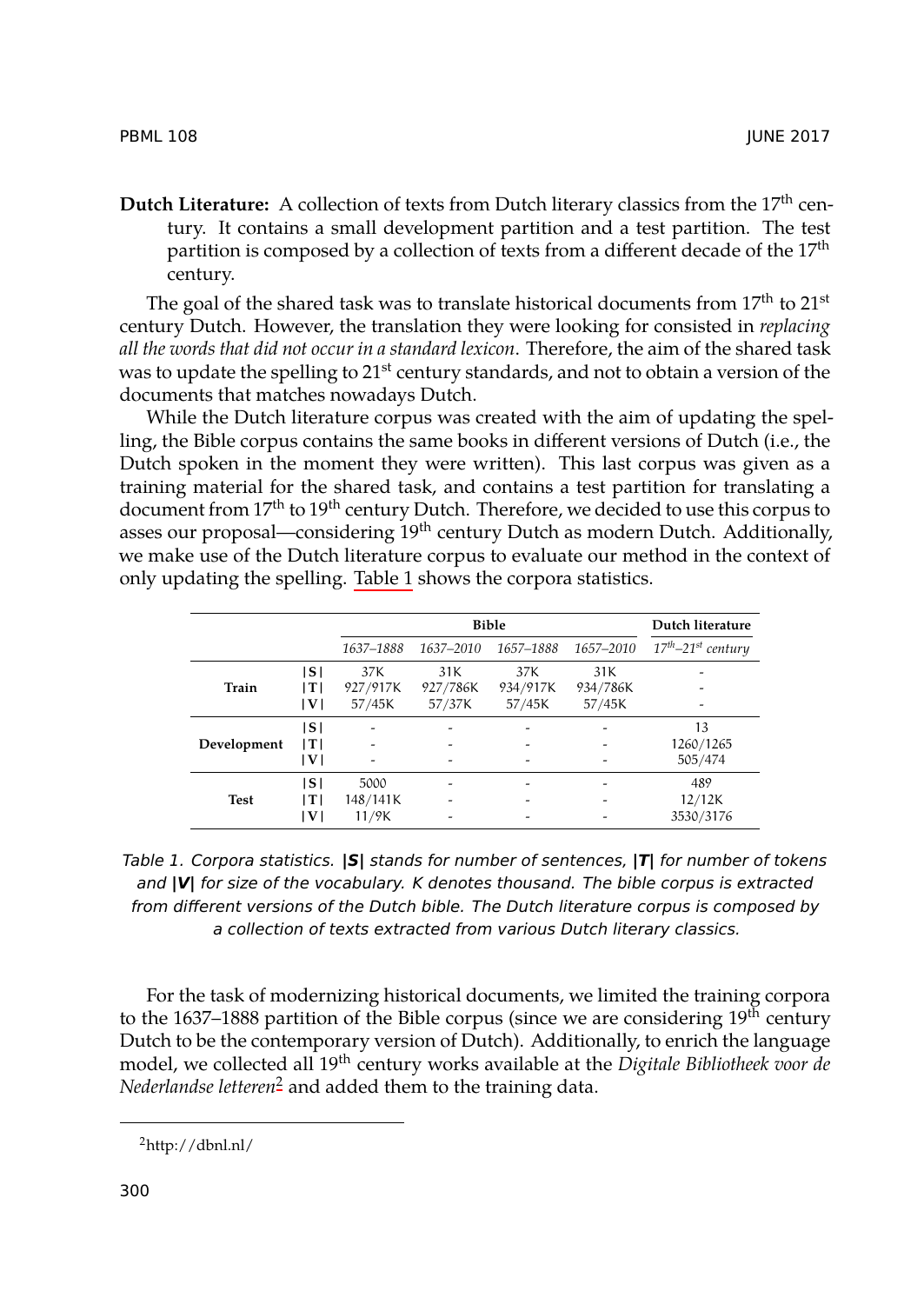# **Dutch Literature:** A collection of texts from Dutch literary classics from the 17<sup>th</sup> century. It contains a small development partition and a test partition. The test partition is composed by a collection of texts from a different decade of the 17<sup>th</sup> century.

The goal of the shared task was to translate historical documents from  $17<sup>th</sup>$  to  $21<sup>st</sup>$ century Dutch. However, the translation they were looking for consisted in *replacing all the words that did not occur [in a stan](#page-5-0)dard lexicon*. Therefore, the aim of the shared task was to update the spelling to 21<sup>st</sup> century standards, and not to obtain a version of the documents that matches nowadays Dutch.

While the Dutch literature corpus was created with the aim of updating the spelling, the Bible corpus contains the same books in different versions of Dutch (i.e., the Dutch spoken in the moment they were written). This last corpus was given as a training material for the shared task, and contains a test partition for translating a document from 17<sup>th</sup> to 19<sup>th</sup> century Dutch. Therefore, we decided to use this corpus to asses our proposal—considering 19<sup>th</sup> century Dutch as modern Dutch. Additionally, we make use of the Dutch literature corpus to evaluate our method in the context of only updating the spelling. Table 1 shows the corpora statistics.

<span id="page-5-0"></span>

|             |     |           | Dutch literature |           |           |                     |
|-------------|-----|-----------|------------------|-----------|-----------|---------------------|
|             |     | 1637-1888 | 1637-2010        | 1657-1888 | 1657-2010 | $17th-21st$ century |
| Train       | ١s١ | 37K       | 31K              | 37K       | 31K       |                     |
|             | T   | 927/917K  | 927/786K         | 934/917K  | 934/786K  |                     |
|             | V   | 57/45K    | 57/37K           | 57/45K    | 57/45K    |                     |
| Development | ۱s۱ | -         |                  |           |           | 13                  |
|             | T   |           |                  |           |           | 1260/1265           |
|             | V   | -         | -                |           |           | 505/474             |
| <b>Test</b> | ١s١ | 5000      |                  |           |           | 489                 |
|             | T   | 148/141K  |                  |           |           | 12/12K              |
|             | ١V١ | 11/9K     |                  |           |           | 3530/3176           |

*Table 1. Corpora statistics. |S| stands for number of sentences, |T| for number of tokens and |V| for size of the vocabulary. K denotes thousand. The bible corpus is extracted from different versions of the Dutch bible. The Dutch literature corpus is composed by a collection of texts extracted from various Dutch literary classics.*

For the task of modernizing historical documents, we limited the training corpora to the 1637–1888 partition of the Bible corpus (since we are considering  $19<sup>th</sup>$  century Dutch to be the contemporary version of Dutch). Additionally, to enrich the language model, we collected all 19th century works available at the *Digitale Bibliotheek voor de Nederlandse letteren*<sup>2</sup> and added them to the training data.

PBML 108 JUNE 2017

<sup>2</sup>http://dbnl.nl/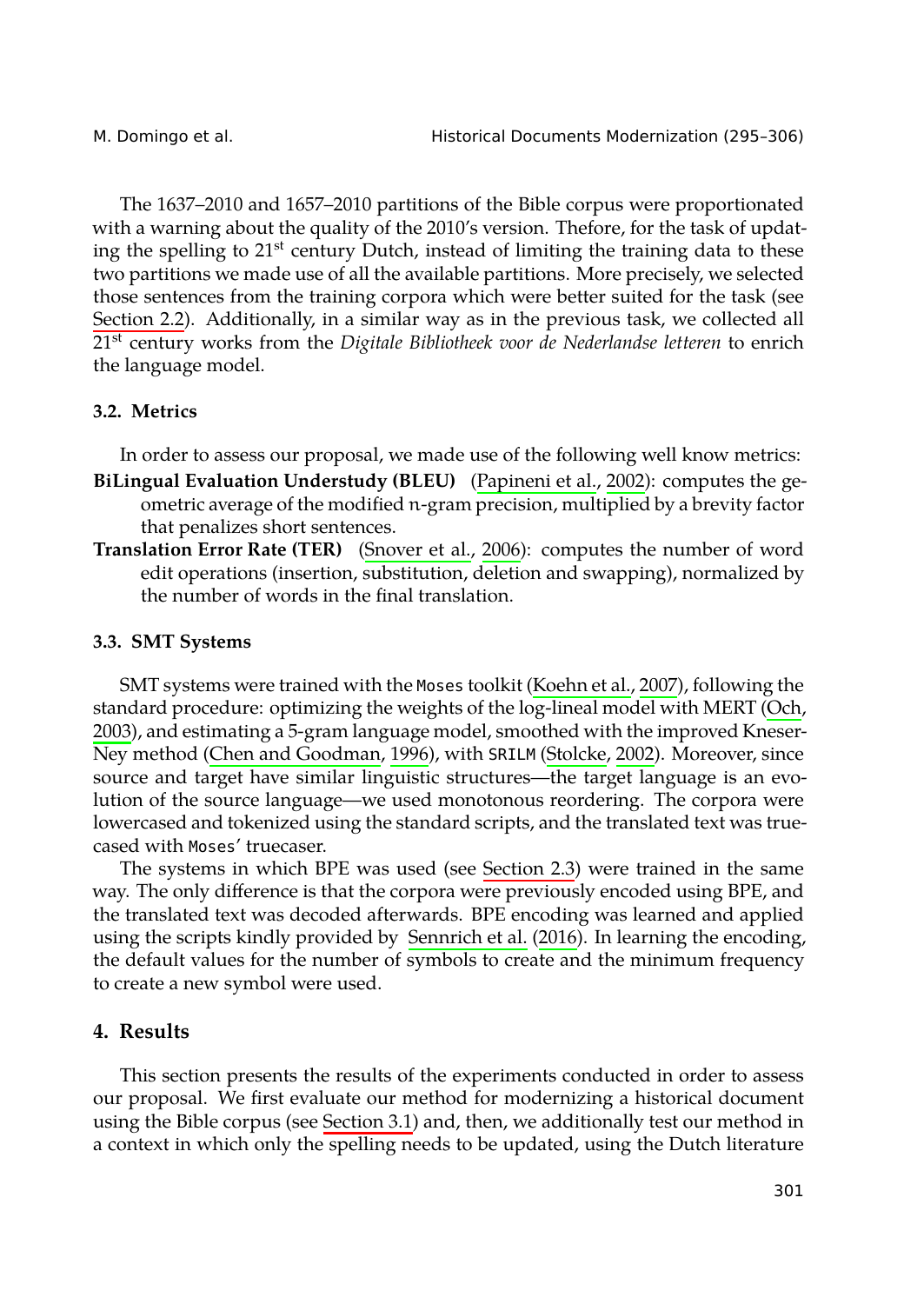M. Domingo et al. **Historical Documents Modernization (295**–306)

The 1637–2010 and 1657–2010 partitions of the Bible corpus were proportionated with a warning about the quality of the 2010's version. Thefore, for the task of updating the spelling to 21<sup>st</sup> century Dutch, instead of limiting the training data to these two partitions we made use of all the availabl[e partitions. More pr](#page-11-5)ecisely, we selected those sentences from the training corpora which were better suited for the task (see Section 2.2). Additionally, in a similar way as in the previous task, we collected all 21st century works from the *Di[gitale Bibliotheek voo](#page-11-6)r de Nederlandse letteren* to enrich the language model.

# **3.2. Metrics**

In order to assess our proposal, we made use of t[he following](#page-10-5) well know metrics:

- **BiLingual Evaluation Understudy (BLEU)** (Papineni et al., 200[2\): co](#page-10-5)mputes t[he ge](#page-11-7)ometric average of the modified n-gram precision, multiplied by a brevity factor that pe[nalizes short sentence](#page-10-6)s.
- **Translation Error Rate (TER)** (Sn[over e](#page-10-6)t al., 2006): [comput](#page-11-8)e[s the](#page-11-8) number of word edit operations (insertion, substitution, deletion and swapping), normalized by the number of words in the final translation.

# **3.3. SMT Systems**

SMT systems were trained with the Moses toolkit (Koehn et al., 2007), following the standard procedure: optimizing the weights of the log-lineal model with MERT (Och, 2003), and estimating a 5-gram langu[age model, smoothed](#page-11-4) with the improved Kneser-Ney method (Chen and Goodman, 1996), with SRILM (Stolcke, 2002). Moreover, since source and target have similar linguistic structures—the target language is an evolution of the source language—we used monotonous reordering. The corpora were lowercased and tokenized using the standard scripts, and the translated text was truecased with Moses' truecaser.

The systems in which BPE was used (see Section 2.3) were trained in the same way. The only difference is that the corpora were previously encoded using BPE, and the translated text was dec[oded afterw](#page-4-0)ards. BPE encoding was learned and applied using the scripts kindly provided by Sennrich et al. (2016). In learning the encoding, the default values for the number of symbols to create and the minimum frequency to create a new symbol were used.

# **4. Results**

This section presents the results of the experiments conducted in order to assess our proposal. We first evaluate our method for modernizing a historical document using the Bible corpus (see Section 3.1) and, then, we additionally test our method in a context in which only the spelling needs to be updated, using the Dutch literature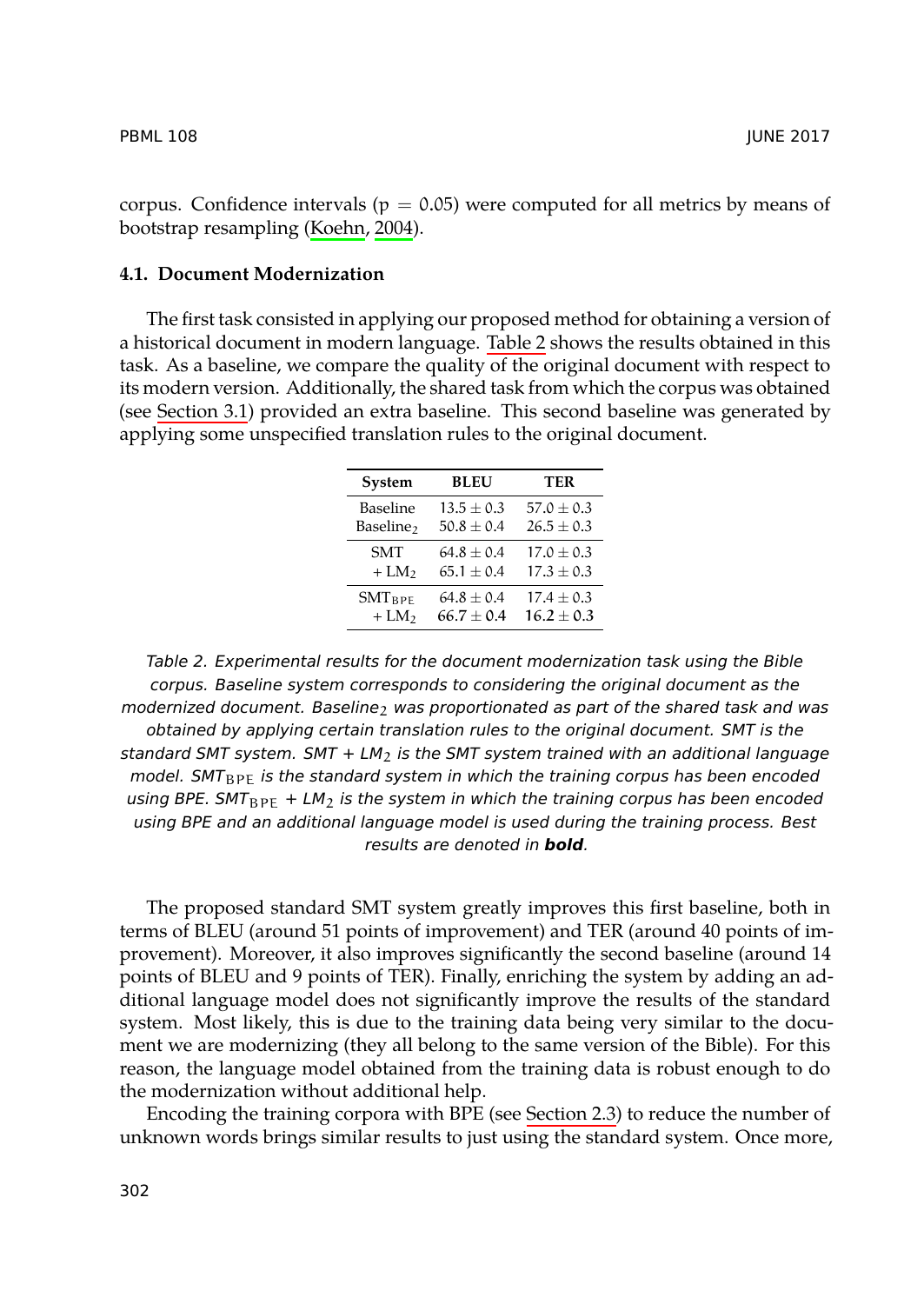PBML 108 JUNE 2017

cor[pus. Confid](#page-4-0)ence intervals ( $p = 0.05$ ) were computed for all metrics by means of bootstrap resampling (Koehn, 2004).

### **4.1. Document Modernization**

The first task consisted in applying our proposed method for obtaining a version of a historical document in modern language. Table 2 shows the results obtained in this task. As a baseline, we compare the quality of the original document with respect to its modern version. Additionally, the shared task from which the corpus was obtained (see Section 3.1) provided an extra baseline. This second baseline was generated by applying some unspecified translation rules to the original document.

| System                | BLEU         | TER            |  |
|-----------------------|--------------|----------------|--|
| Baseline              | $13.5 + 0.3$ | $57.0 + 0.3$   |  |
| Baseline <sub>2</sub> | $50.8 + 0.4$ | $26.5 + 0.3$   |  |
| <b>SMT</b>            | $64.8 + 0.4$ | $17.0 + 0.3$   |  |
| $+ LM2$               | $65.1 + 0.4$ | $17.3 + 0.3$   |  |
| $SMT_{BPE}$           | $64.8 + 0.4$ | $17.4 \pm 0.3$ |  |
| $+ LM2$               | $66.7 + 0.4$ | $16.2 + 0.3$   |  |
|                       |              |                |  |

*Table 2. Experimental results for the document modernization task using the Bible corpus. Baseline system corresponds to considering the original document as the modernized document. Baseline*<sub>2</sub> *was proportionated as part of the shared task and was obtained by applying certain translation rules to the original document. SMT is the standard SMT system. SMT + LM*2 *is the SMT system trained with an additional language model. SMT*BPE *is the standard system in which the training corpus has been encoded using BPE.*  $SMT_{BPE}$  + LM<sub>2</sub> *is the system in which the training corpus has been encoded using BPE and an additional language model is used during the training process. Best results are denoted in bold.*

The proposed standard SMT system greatly [improves t](#page-4-1)his first baseline, both in terms of BLEU (around 51 points of improvement) and TER (around 40 points of improvement). Moreover, it also improves significantly the second baseline (around 14 points of BLEU and 9 points of TER). Finally, enriching the system by adding an additional language model does not significantly improve the results of the standard system. Most likely, this is due to the training data being very similar to the document we are modernizing (they all belong to the same version of the Bible). For this reason, the language model obtained from the training data is robust enough to do the modernization without additional help.

Encoding the training corpora with BPE (see Section 2.3) to reduce the number of unknown words brings similar results to just using the standard system. Once more,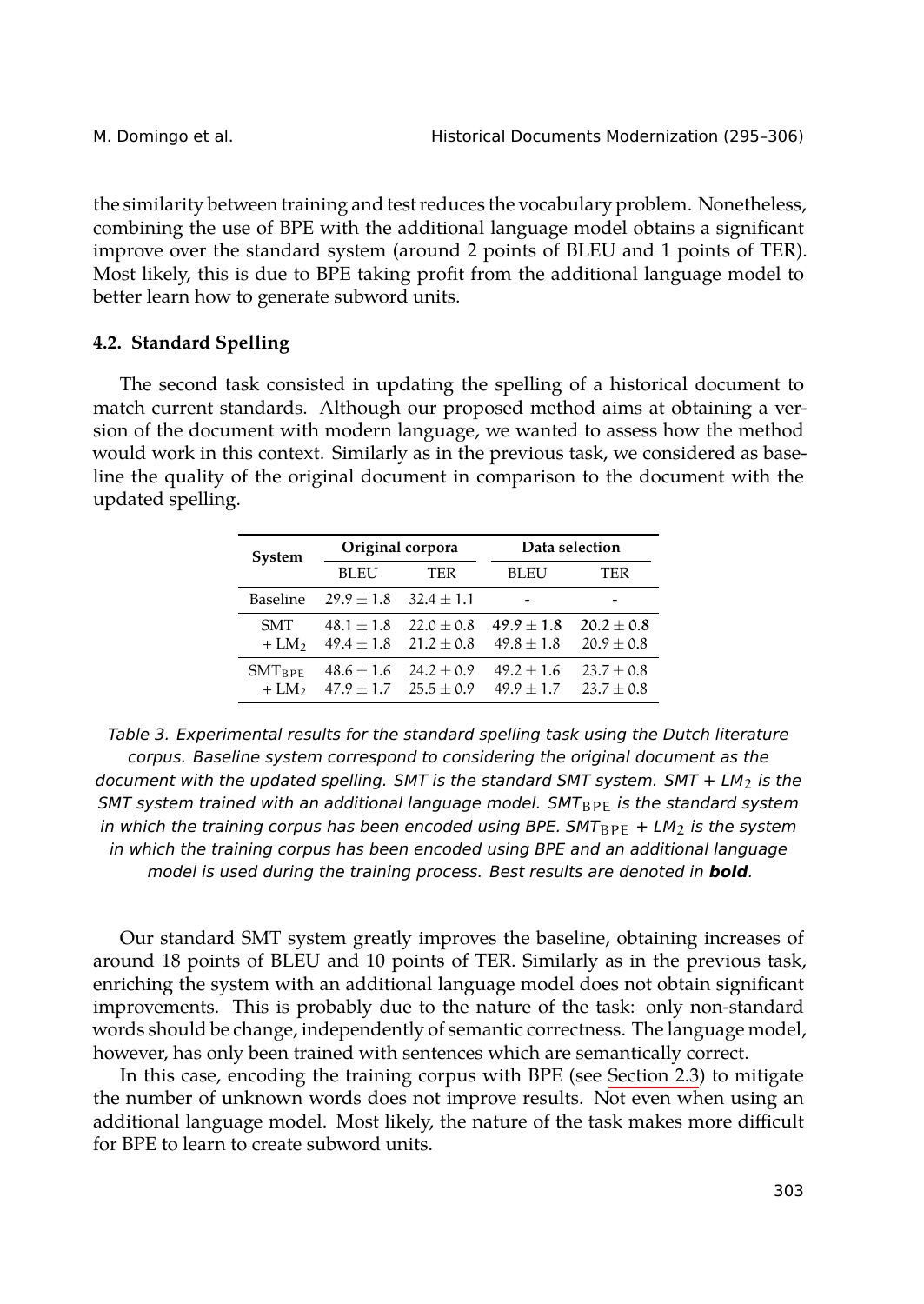Historical Documents Modernization (295–306)

the similarity between training and test reduces the vocabulary problem. Nonetheless, combining the use of BPE with the additional language model obtains a significant improve over the standard system (around 2 points of BLEU and 1 points of TER). Most likely, this is due to BPE taking profit from the additional language model to better learn how to generate subword units.

## **4.2. Standard Spelling**

The second task consisted in updating the spelling of a historical document to match current standards. Although our proposed method aims at obtaining a version of the document with modern language, we wanted to assess how the method would work in this context. Similarly as in the previous task, we considered as baseline the quality of the original document in comparison to the document with the updated spelling.

| System                |                              | Original corpora               | Data selection                 |                                |
|-----------------------|------------------------------|--------------------------------|--------------------------------|--------------------------------|
|                       | BL EU                        | TER                            | <b>BLEU</b>                    | TER                            |
| Baseline              | $29.9 + 1.8$                 | $32.4 + 1.1$                   |                                |                                |
| <b>SMT</b><br>$+LM2$  | $48.1 + 1.8$<br>$49.4 + 1.8$ | $22.0 + 0.8$<br>$21.2 + 0.8$   | $49.9 + 1.8$<br>$49.8 \pm 1.8$ | $20.2 + 0.8$<br>$20.9 \pm 0.8$ |
| $SMT_{BPF}$<br>$+LM2$ | $48.6 + 1.6$<br>$47.9 + 1.7$ | $24.2 + 0.9$<br>$25.5 \pm 0.9$ | $49.2 + 1.6$<br>$49.9 + 1.7$   | $23.7 + 0.8$<br>$23.7 \pm 0.8$ |

*Table 3. Experimental results for the standard spelling task using the Dutch literature corpus. Baseline system correspond to considering the original document as the document with the updated spelling. SMT is the standard SMT system. SMT + LM<sub>2</sub> is the SMT system trained with an additional language model. SMT*<sub>BPE</sub> *is the standard system in which the training corpus has been encoded using BPE. SMT*<sub>BPE</sub> + LM<sub>2</sub> *is the system in which the training corpus has been encoded using BPE and [an additiona](#page-4-1)l language model is used during the training process. Best results are denoted in bold.*

Our standard SMT system greatly improves the baseline, obtaining increases of around 18 points of BLEU and 10 points of TER. Similarly as in the previous task, enriching the system with an additional language model does not obtain significant improvements. This is probably due to the nature of the task: only non-standard words should be change, independently of semantic correctness. The language model, however, has only been trained with sentences which are semantically correct.

In this case, encoding the training corpus with BPE (see Section 2.3) to mitigate the number of unknown words does not improve results. Not even when using an additional language model. Most likely, the nature of the task makes more difficult for BPE to learn to create subword units.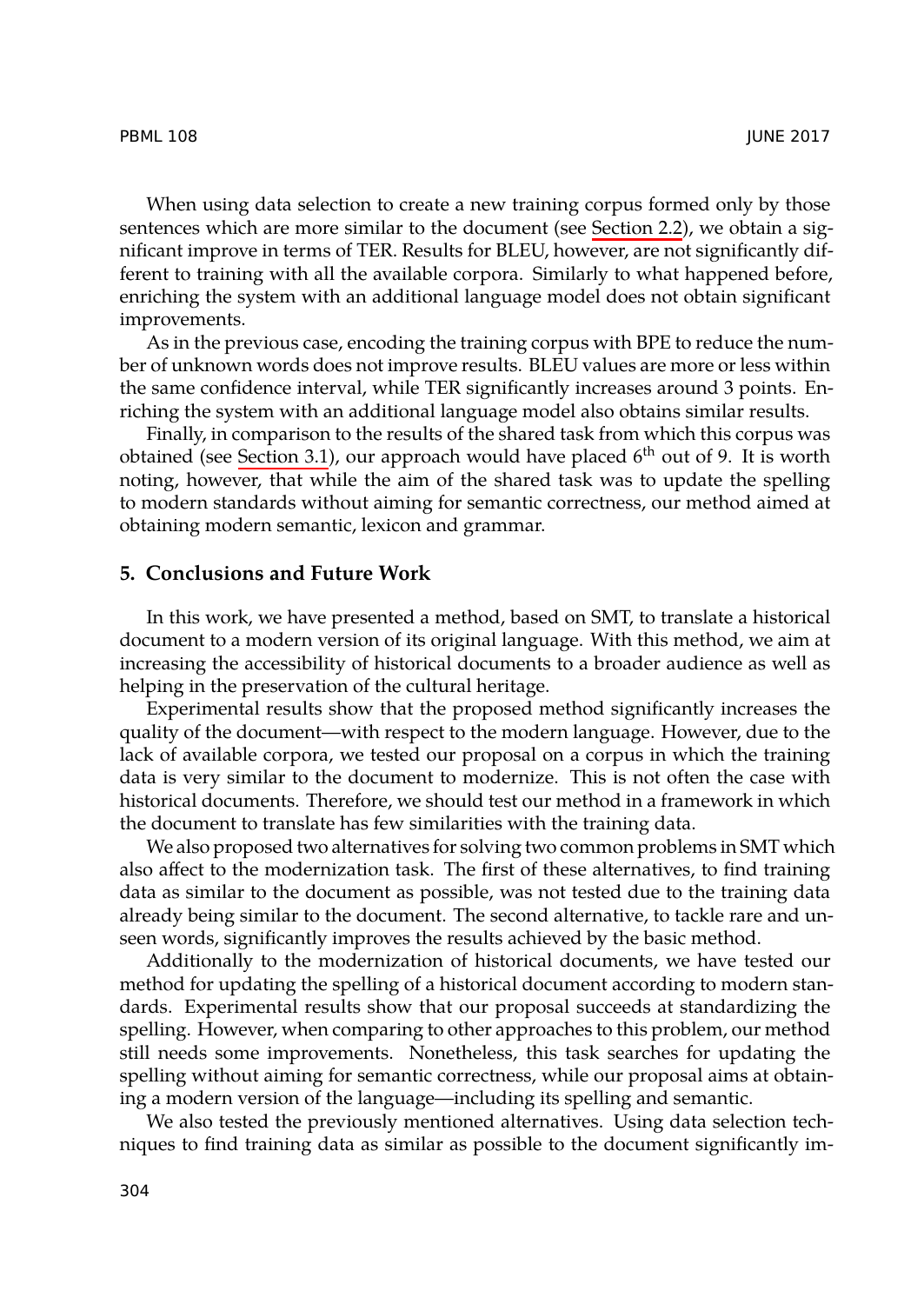## PBML 108 JUNE 2017

When using data selection to create a new training corpus formed only by those sentences which are more similar to the document (see Section 2.2), we obtain a significant impr[ove in terms](#page-4-0) of TER. Results for BLEU, however, are not significantly different to training with all the available corpora. Similarly to what happened before, enriching the system with an additional language model does not obtain significant improvements.

<span id="page-9-0"></span>As in the previous case, encoding the training corpus with BPE to reduce the number of unknown words does not improve results. BLEU values are more or less within the same confidence interval, while TER significantly increases around 3 points. Enriching the system with an additional language model also obtains similar results.

Finally, in comparison to the results of the shared task from which this corpus was obtained (see Section 3.1), our approach would have placed  $6<sup>th</sup>$  out of 9. It is worth noting, however, that while the aim of the shared task was to update the spelling to modern standards without aiming for semantic correctness, our method aimed at obtaining modern semantic, lexicon and grammar.

## **5. Conclusions and Future Work**

In this work, we have presented a method, based on SMT, to translate a historical document to a modern version of its original language. With this method, we aim at increasing the accessibility of historical documents to a broader audience as well as helping in the preservation of the cultural heritage.

Experimental results show that the proposed method significantly increases the quality of the document—with respect to the modern language. However, due to the lack of available corpora, we tested our proposal on a corpus in which the training data is very similar to the document to modernize. This is not often the case with historical documents. Therefore, we should test our method in a framework in which the document to translate has few similarities with the training data.

We also proposed two alternatives for solving two common problems in SMT which also affect to the modernization task. The first of these alternatives, to find training data as similar to the document as possible, was not tested due to the training data already being similar to the document. The second alternative, to tackle rare and unseen words, significantly improves the results achieved by the basic method.

Additionally to the modernization of historical documents, we have tested our method for updating the spelling of a historical document according to modern standards. Experimental results show that our proposal succeeds at standardizing the spelling. However, when comparing to other approaches to this problem, our method still needs some improvements. Nonetheless, this task searches for updating the spelling without aiming for semantic correctness, while our proposal aims at obtaining a modern version of the language—including its spelling and semantic.

We also tested the previously mentioned alternatives. Using data selection techniques to find training data as similar as possible to the document significantly im-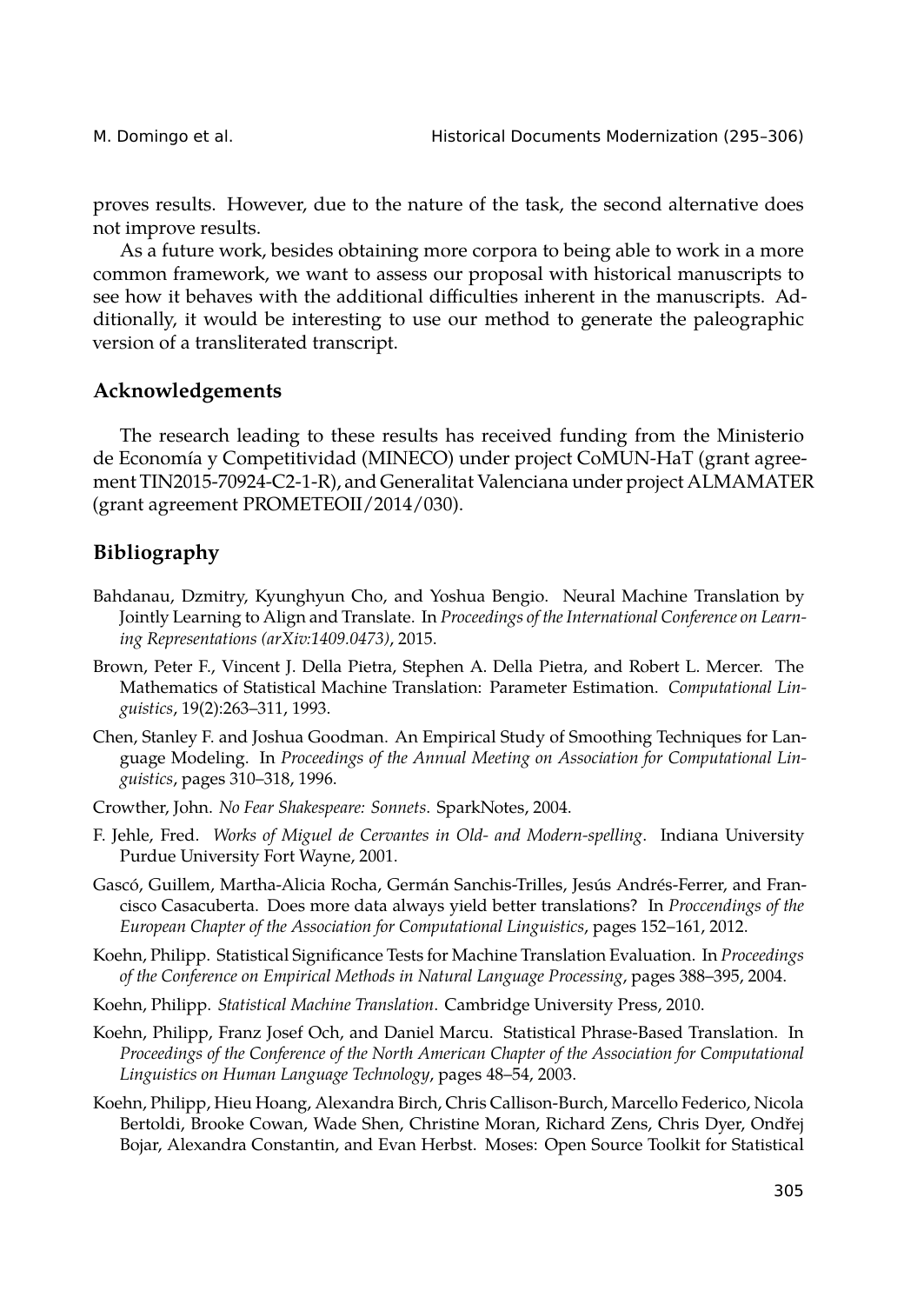proves results. However, due to the nature of the task, the second alternative does not improve results.

As a future work, besides obtaining more corpora to being able to work in a more common framework, we want to assess our proposal with historical manuscripts to see how it behaves with the additional difficulties inherent in the manuscripts. Additionally, it would be interesting to use our method to generate the paleographic version of a transliterated transcript.

# **Acknowledgements**

The research leading to these results has received funding from the Ministerio de Economía y Competitividad (MINECO) under project CoMUN-HaT (grant agreement TIN2015-70924-C2-1-R), and Generalitat Valenciana under project ALMAMATER (grant agreement PROMETEOII/2014/030).

# **Bibliography**

- <span id="page-10-3"></span>Bahdanau, Dzmitry, Kyunghyun Cho, and Yoshua Bengio. Neural Machine Translation by Jointly Learning to Align and Translate. In *Proceedings of the International Conference on Learning Representations (arXiv:1409.0473)*, 2015.
- Brown, Peter F., Vincent J. Della Pietra, Stephen A. Della Pietra, and Robert L. Mercer. The Mathematics of Statistical Machine Translation: Parameter Estimation. *Computational Linguistics*, 19(2):263–311, 1993.
- <span id="page-10-6"></span>Chen, Stanley F. and Joshua Goodman. An Empirical Study of Smoothing Techniques for Language Modeling. In *Proceedings of the Annual Meeting on Association for Computational Linguistics*, pages 310–318, 1996.
- <span id="page-10-1"></span>Crowther, John. *No Fear Shakespeare: Sonnets*. SparkNotes, 2004.
- <span id="page-10-0"></span>F. Jehle, Fred. *Works of Miguel de Cervantes in Old- and Modern-spelling*. Indiana University Purdue University Fort Wayne, 2001.
- <span id="page-10-4"></span>Gascó, Guillem, Martha-Alicia Rocha, Germán Sanchis-Trilles, Jesús Andrés-Ferrer, and Francisco Casacuberta. Does more data always yield better translations? In *Proccendings of the European Chapter of the Association for Computational Linguistics*, pages 152–161, 2012.
- Koehn, Philipp. Statistical Significance Tests for Machine Translation Evaluation. In *Proceedings of the Conference on Empirical Methods in Natural Language Processing*, pages 388–395, 2004.
- Koehn, Philipp. *Statistical Machine Translation*. Cambridge University Press, 2010.
- <span id="page-10-2"></span>Koehn, Philipp, Franz Josef Och, and Daniel Marcu. Statistical Phrase-Based Translation. In *Proceedings of the Conference of the North American Chapter of the Association for Computational Linguistics on Human Language Technology*, pages 48–54, 2003.
- <span id="page-10-5"></span>Koehn, Philipp, Hieu Hoang, Alexandra Birch, Chris Callison-Burch, Marcello Federico, Nicola Bertoldi, Brooke Cowan, Wade Shen, Christine Moran, Richard Zens, Chris Dyer, Ondřej Bojar, Alexandra Constantin, and Evan Herbst. Moses: Open Source Toolkit for Statistical